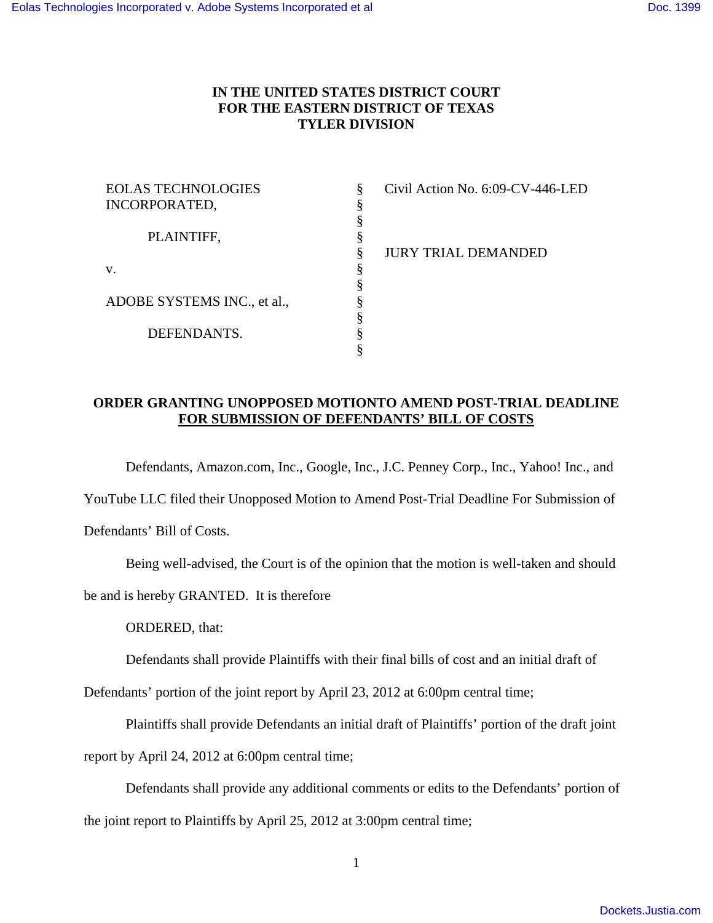## **IN THE UNITED STATES DISTRICT COURT FOR THE EASTERN DISTRICT OF TEXAS TYLER DIVISION**

| <b>EOLAS TECHNOLOGIES</b>   | Civil Action No. 6:09-CV-446-LED |
|-----------------------------|----------------------------------|
| INCORPORATED,               |                                  |
|                             |                                  |
| PLAINTIFF,                  |                                  |
|                             | <b>JURY TRIAL DEMANDED</b>       |
| V.                          |                                  |
|                             |                                  |
| ADOBE SYSTEMS INC., et al., |                                  |
|                             |                                  |
| DEFENDANTS.                 |                                  |
|                             |                                  |

## **ORDER GRANTING UNOPPOSED MOTIONTO AMEND POST-TRIAL DEADLINE FOR SUBMISSION OF DEFENDANTS' BILL OF COSTS**

Defendants, Amazon.com, Inc., Google, Inc., J.C. Penney Corp., Inc., Yahoo! Inc., and

YouTube LLC filed their Unopposed Motion to Amend Post-Trial Deadline For Submission of

Defendants' Bill of Costs.

Being well-advised, the Court is of the opinion that the motion is well-taken and should

be and is hereby GRANTED. It is therefore

ORDERED, that:

Defendants shall provide Plaintiffs with their final bills of cost and an initial draft of

Defendants' portion of the joint report by April 23, 2012 at 6:00pm central time;

Plaintiffs shall provide Defendants an initial draft of Plaintiffs' portion of the draft joint

report by April 24, 2012 at 6:00pm central time;

Defendants shall provide any additional comments or edits to the Defendants' portion of the joint report to Plaintiffs by April 25, 2012 at 3:00pm central time;